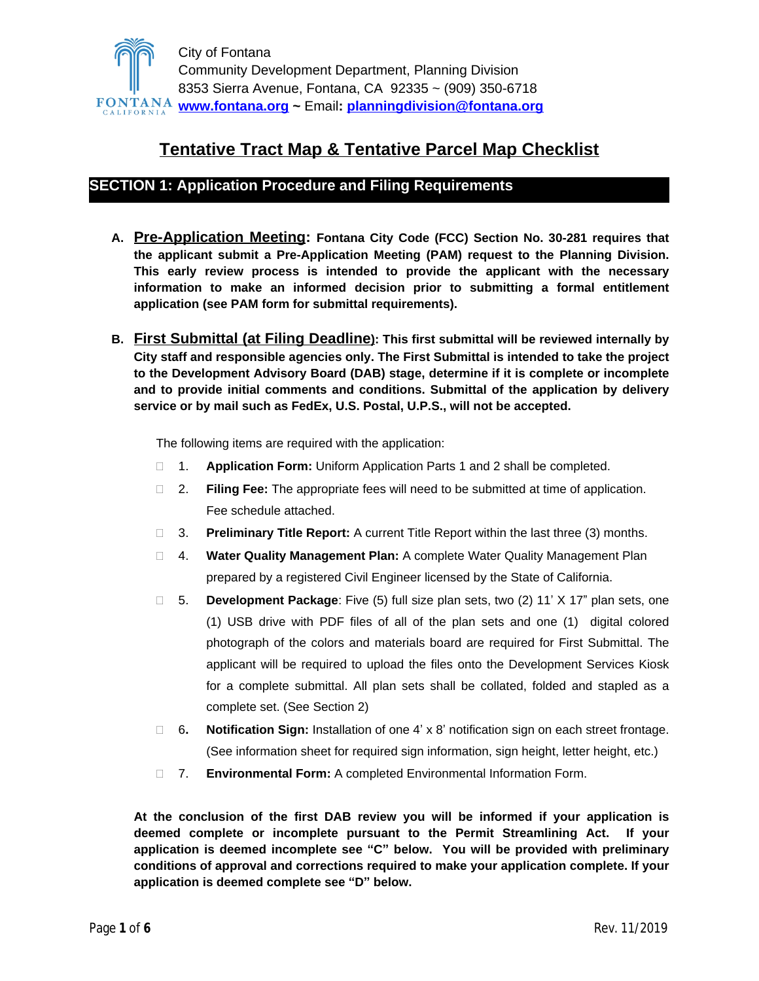

# **Tentative Tract Map & Tentative Parcel Map Checklist**

# **SECTION 1: Application Procedure and Filing Requirements**

- **A. Pre-Application Meeting: Fontana City Code (FCC) Section No. 30-281 requires that the applicant submit a Pre-Application Meeting (PAM) request to the Planning Division. This early review process is intended to provide the applicant with the necessary information to make an informed decision prior to submitting a formal entitlement application (see PAM form for submittal requirements).**
- **B. First Submittal (at Filing Deadline): This first submittal will be reviewed internally by City staff and responsible agencies only. The First Submittal is intended to take the project to the Development Advisory Board (DAB) stage, determine if it is complete or incomplete and to provide initial comments and conditions. Submittal of the application by delivery service or by mail such as FedEx, U.S. Postal, U.P.S., will not be accepted.**

The following items are required with the application:

- 1. **Application Form:** Uniform Application Parts 1 and 2 shall be completed.
- 2. **Filing Fee:** The appropriate fees will need to be submitted at time of application. Fee schedule attached.
- 3. **Preliminary Title Report:** A current Title Report within the last three (3) months.
- 4. **Water Quality Management Plan:** A complete Water Quality Management Plan prepared by a registered Civil Engineer licensed by the State of California.
- 5. **Development Package**: Five (5) full size plan sets, two (2) 11' X 17" plan sets, one (1) USB drive with PDF files of all of the plan sets and one (1) digital colored photograph of the colors and materials board are required for First Submittal. The applicant will be required to upload the files onto the Development Services Kiosk for a complete submittal. All plan sets shall be collated, folded and stapled as a complete set. (See Section 2)
- 6**. Notification Sign:** Installation of one 4' x 8' notification sign on each street frontage. (See information sheet for required sign information, sign height, letter height, etc.)
- 7. **Environmental Form:** A completed Environmental Information Form.

**At the conclusion of the first DAB review you will be informed if your application is deemed complete or incomplete pursuant to the Permit Streamlining Act. If your application is deemed incomplete see "C" below. You will be provided with preliminary conditions of approval and corrections required to make your application complete. If your application is deemed complete see "D" below.**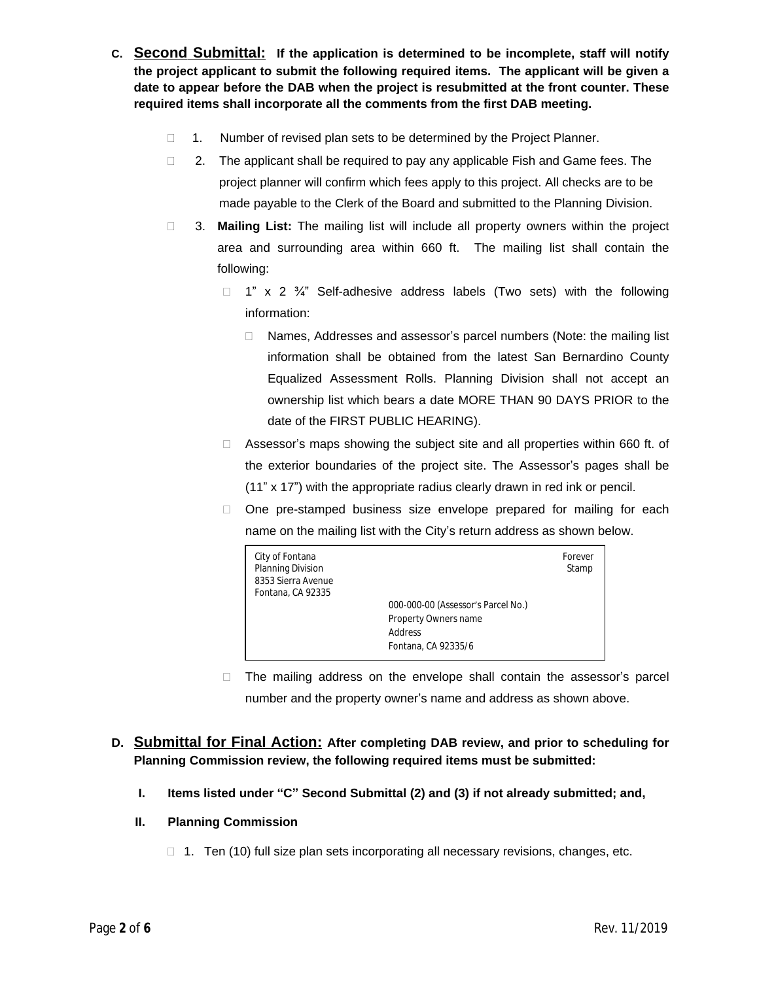- **C. Second Submittal: If the application is determined to be incomplete, staff will notify the project applicant to submit the following required items. The applicant will be given a date to appear before the DAB when the project is resubmitted at the front counter. These required items shall incorporate all the comments from the first DAB meeting.**
	- 1. Number of revised plan sets to be determined by the Project Planner.
	- $\Box$  2. The applicant shall be required to pay any applicable Fish and Game fees. The project planner will confirm which fees apply to this project. All checks are to be made payable to the Clerk of the Board and submitted to the Planning Division.
	- 3. **Mailing List:** The mailing list will include all property owners within the project area and surrounding area within 660 ft. The mailing list shall contain the following:
		- $\Box$  1" x 2  $\frac{3}{4}$ " Self-adhesive address labels (Two sets) with the following information:
			- □ Names, Addresses and assessor's parcel numbers (Note: the mailing list information shall be obtained from the latest San Bernardino County Equalized Assessment Rolls. Planning Division shall not accept an ownership list which bears a date MORE THAN 90 DAYS PRIOR to the date of the FIRST PUBLIC HEARING).
		- $\Box$  Assessor's maps showing the subject site and all properties within 660 ft. of the exterior boundaries of the project site. The Assessor's pages shall be (11" x 17") with the appropriate radius clearly drawn in red ink or pencil.
		- $\Box$  One pre-stamped business size envelope prepared for mailing for each name on the mailing list with the City's return address as shown below.

| City of Fontana<br>Planning Division<br>8353 Sierra Avenue<br>Fontana, CA 92335 | 000-000-00 (Assessor's Parcel No.)<br>Property Owners name | Forever<br>Stamp |
|---------------------------------------------------------------------------------|------------------------------------------------------------|------------------|
|                                                                                 | Address                                                    |                  |
|                                                                                 | Fontana, CA 92335/6                                        |                  |

 $\Box$  The mailing address on the envelope shall contain the assessor's parcel number and the property owner's name and address as shown above.

# **D. Submittal for Final Action: After completing DAB review, and prior to scheduling for Planning Commission review, the following required items must be submitted:**

**I. Items listed under "C" Second Submittal (2) and (3) if not already submitted; and,**

## **II. Planning Commission**

 $\Box$  1. Ten (10) full size plan sets incorporating all necessary revisions, changes, etc.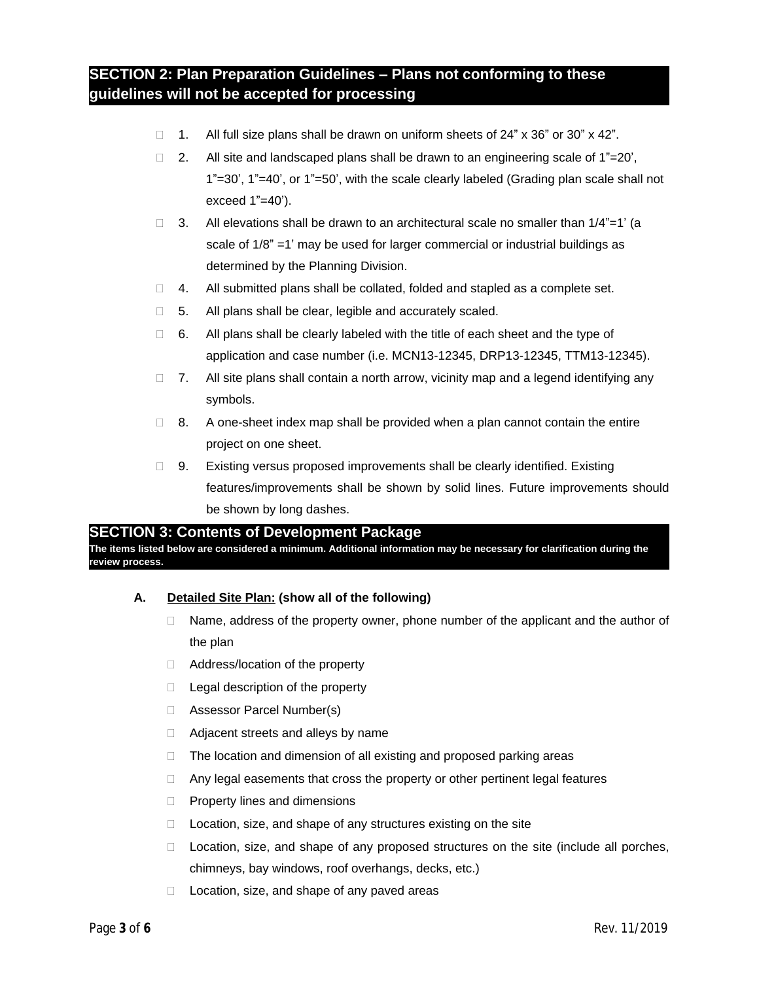# **SECTION 2: Plan Preparation Guidelines – Plans not conforming to these guidelines will not be accepted for processing**

- □ 1. All full size plans shall be drawn on uniform sheets of 24" x 36" or 30" x 42".
- 2. All site and landscaped plans shall be drawn to an engineering scale of  $1"=20'$ , 1"=30', 1"=40', or 1"=50', with the scale clearly labeled (Grading plan scale shall not exceed  $1"=40'$ ).
- 3. All elevations shall be drawn to an architectural scale no smaller than  $1/4"=1'$  (a scale of 1/8" =1' may be used for larger commercial or industrial buildings as determined by the Planning Division.
- $\Box$  4. All submitted plans shall be collated, folded and stapled as a complete set.
- $\Box$  5. All plans shall be clear, legible and accurately scaled.
- $\Box$  6. All plans shall be clearly labeled with the title of each sheet and the type of application and case number (i.e. MCN13-12345, DRP13-12345, TTM13-12345).
- $\Box$  7. All site plans shall contain a north arrow, vicinity map and a legend identifying any symbols.
- $\Box$  8. A one-sheet index map shall be provided when a plan cannot contain the entire project on one sheet.
- $\Box$  9. Existing versus proposed improvements shall be clearly identified. Existing features/improvements shall be shown by solid lines. Future improvements should be shown by long dashes.

## **SECTION 3: Contents of Development Package**

**The items listed below are considered a minimum. Additional information may be necessary for clarification during the review process.**

## **A. Detailed Site Plan: (show all of the following)**

- $\Box$  Name, address of the property owner, phone number of the applicant and the author of the plan
- □ Address/location of the property
- $\Box$  Legal description of the property
- □ Assessor Parcel Number(s)
- $\Box$  Adjacent streets and alleys by name
- □ The location and dimension of all existing and proposed parking areas
- $\Box$  Any legal easements that cross the property or other pertinent legal features
- $\Box$  Property lines and dimensions
- □ Location, size, and shape of any structures existing on the site
- $\Box$  Location, size, and shape of any proposed structures on the site (include all porches, chimneys, bay windows, roof overhangs, decks, etc.)
- $\Box$  Location, size, and shape of any paved areas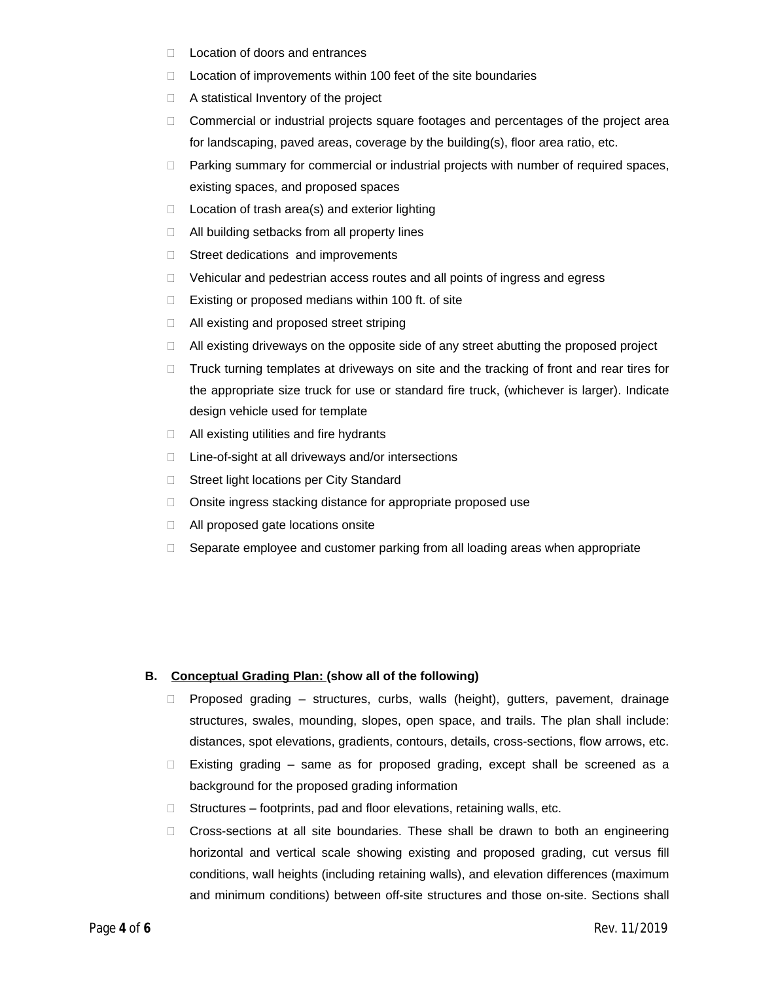- □ Location of doors and entrances
- $\Box$  Location of improvements within 100 feet of the site boundaries
- $\Box$  A statistical Inventory of the project
- $\Box$  Commercial or industrial projects square footages and percentages of the project area for landscaping, paved areas, coverage by the building(s), floor area ratio, etc.
- $\Box$  Parking summary for commercial or industrial projects with number of required spaces, existing spaces, and proposed spaces
- $\Box$  Location of trash area(s) and exterior lighting
- □ All building setbacks from all property lines
- $\Box$  Street dedications and improvements
- $\Box$  Vehicular and pedestrian access routes and all points of ingress and egress
- $\Box$  Existing or proposed medians within 100 ft. of site
- □ All existing and proposed street striping
- $\Box$  All existing driveways on the opposite side of any street abutting the proposed project
- $\Box$  Truck turning templates at driveways on site and the tracking of front and rear tires for the appropriate size truck for use or standard fire truck, (whichever is larger). Indicate design vehicle used for template
- $\Box$  All existing utilities and fire hydrants
- □ Line-of-sight at all driveways and/or intersections
- □ Street light locations per City Standard
- $\Box$  Onsite ingress stacking distance for appropriate proposed use
- □ All proposed gate locations onsite
- $\Box$  Separate employee and customer parking from all loading areas when appropriate

#### **B. Conceptual Grading Plan: (show all of the following)**

- $\Box$  Proposed grading structures, curbs, walls (height), gutters, pavement, drainage structures, swales, mounding, slopes, open space, and trails. The plan shall include: distances, spot elevations, gradients, contours, details, cross-sections, flow arrows, etc.
- $\Box$  Existing grading same as for proposed grading, except shall be screened as a background for the proposed grading information
- $\Box$  Structures footprints, pad and floor elevations, retaining walls, etc.
- Cross-sections at all site boundaries. These shall be drawn to both an engineering horizontal and vertical scale showing existing and proposed grading, cut versus fill conditions, wall heights (including retaining walls), and elevation differences (maximum and minimum conditions) between off-site structures and those on-site. Sections shall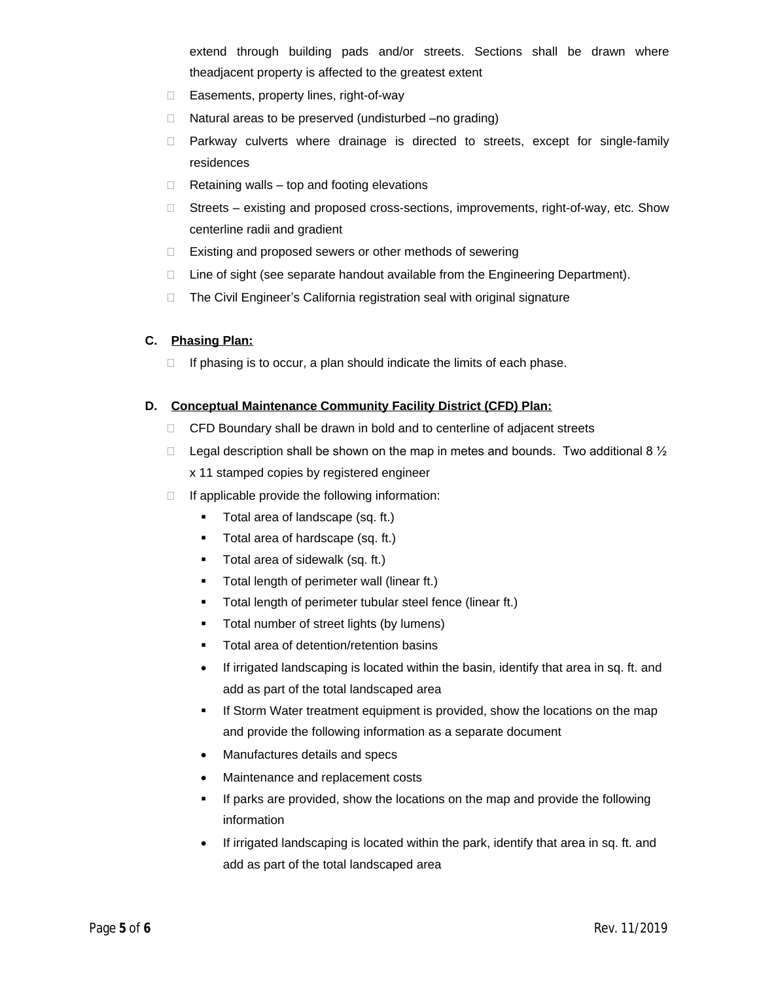extend through building pads and/or streets. Sections shall be drawn where theadjacent property is affected to the greatest extent

- □ Easements, property lines, right-of-way
- $\Box$  Natural areas to be preserved (undisturbed  $-\text{no}$  grading)
- Parkway culverts where drainage is directed to streets, except for single-family residences
- $\Box$  Retaining walls top and footing elevations
- $\Box$  Streets existing and proposed cross-sections, improvements, right-of-way, etc. Show centerline radii and gradient
- □ Existing and proposed sewers or other methods of sewering
- $\Box$  Line of sight (see separate handout available from the Engineering Department).
- $\Box$  The Civil Engineer's California registration seal with original signature

#### **C. Phasing Plan:**

 $\Box$  If phasing is to occur, a plan should indicate the limits of each phase.

#### **D. Conceptual Maintenance Community Facility District (CFD) Plan:**

- CFD Boundary shall be drawn in bold and to centerline of adjacent streets
- $\Box$  Legal description shall be shown on the map in metes and bounds. Two additional 8  $\frac{1}{2}$ x 11 stamped copies by registered engineer
- $\Box$  If applicable provide the following information:
	- Total area of landscape (sq. ft.)
	- **Total area of hardscape (sq. ft.)**
	- **Total area of sidewalk (sq. ft.)**
	- **Total length of perimeter wall (linear ft.)**
	- Total length of perimeter tubular steel fence (linear ft.)
	- Total number of street lights (by lumens)
	- Total area of detention/retention basins
	- If irrigated landscaping is located within the basin, identify that area in sq. ft. and add as part of the total landscaped area
	- If Storm Water treatment equipment is provided, show the locations on the map and provide the following information as a separate document
	- Manufactures details and specs
	- Maintenance and replacement costs
	- If parks are provided, show the locations on the map and provide the following information
	- If irrigated landscaping is located within the park, identify that area in sq. ft. and add as part of the total landscaped area